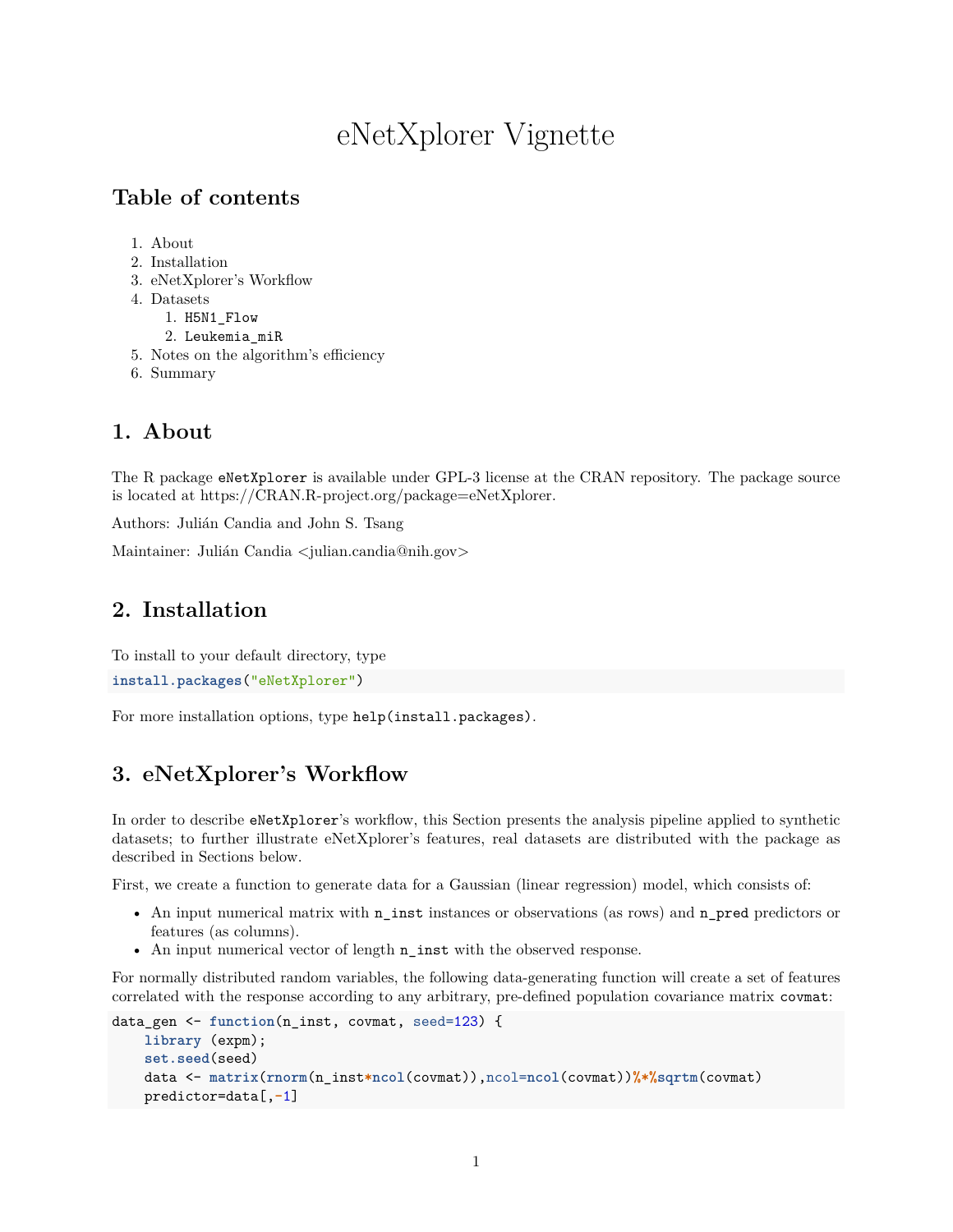# eNetXplorer Vignette

## **Table of contents**

- 1. [About](#page-0-0)
- 2. [Installation](#page-0-1)
- 3. eNetXplorer's Workflow
- 4. [Datasets](#page-10-0)
	- 1. H5N1\_Flow
	- 2. Leukemia\_miR
- 5. Notes on the algorithm's efficiency
- <span id="page-0-0"></span>6. [Summary](#page-12-0)

## **1. About**

The R package eNetXplorer is available under GPL-3 license at the CRAN repository. The package source is located at [https://CRAN.R-project.org/package=eNetXplorer.](https://CRAN.R-project.org/package=eNetXplorer)

Authors: Julián Candia and John S. Tsang

<span id="page-0-1"></span>Maintainer: Julián Candia [<julian.candia@nih.gov>](mailto:julian.candia@nih.gov)

## **2. Installation**

To install to your default directory, type

```
install.packages("eNetXplorer")
```
For more installation options, type help(install.packages).

## **3. eNetXplorer's Workflow**

In order to describe eNetXplorer's workflow, this Section presents the analysis pipeline applied to synthetic datasets; to further illustrate eNetXplorer's features, real datasets are distributed with the package as described in Sections below.

First, we create a function to generate data for a Gaussian (linear regression) model, which consists of:

- An input numerical matrix with  $n$  inst instances or observations (as rows) and  $n$  pred predictors or features (as columns).
- An input numerical vector of length n\_inst with the observed response.

For normally distributed random variables, the following data-generating function will create a set of features correlated with the response according to any arbitrary, pre-defined population covariance matrix covmat:

```
data_gen <- function(n_inst, covmat, seed=123) {
   library (expm);
    set.seed(seed)
   data <- matrix(rnorm(n_inst*ncol(covmat)),ncol=ncol(covmat))%*%sqrtm(covmat)
   predictor=data[,-1]
```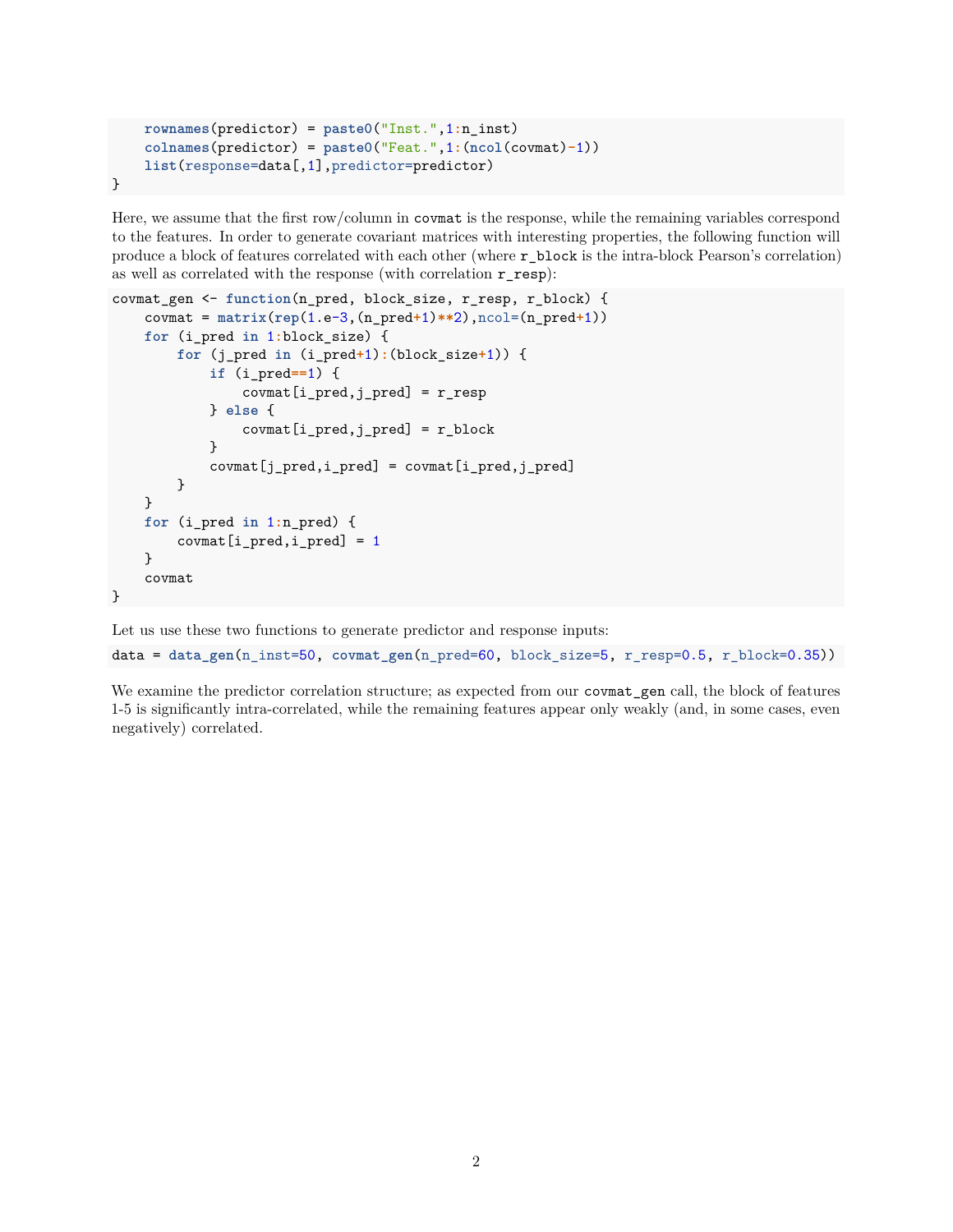```
rownames(predictor) = paste0("Inst.",1:n_inst)
    colnames(predictor) = paste0("Feat.",1:(ncol(covmat)-1))
    list(response=data[,1],predictor=predictor)
}
```
Here, we assume that the first row/column in covmat is the response, while the remaining variables correspond to the features. In order to generate covariant matrices with interesting properties, the following function will produce a block of features correlated with each other (where r\_block is the intra-block Pearson's correlation) as well as correlated with the response (with correlation r\_resp):

```
covmat_gen <- function(n_pred, block_size, r_resp, r_block) {
   covmat = matrix(rep(1.e-3,(n_pred+1)**2),ncol=(n_pred+1))
   for (i_pred in 1:block_size) {
        for (j_pred in (i_pred+1):(block_size+1)) {
            if (i_pred==1) {
                count[i_pred, j_pred] = r_resp} else {
                covmat[i_pred, j_pred] = r_block}
            count[j_pred, i_pred] = covmat[i_pred, j_pred]}
   }
   for (i_pred in 1:n_pred) {
        covmat[i_pred, i_pred] = 1}
   covmat
}
```
Let us use these two functions to generate predictor and response inputs:

data = **data\_gen**(n\_inst=50, **covmat\_gen**(n\_pred=60, block\_size=5, r\_resp=0.5, r\_block=0.35))

We examine the predictor correlation structure; as expected from our covmat\_gen call, the block of features 1-5 is significantly intra-correlated, while the remaining features appear only weakly (and, in some cases, even negatively) correlated.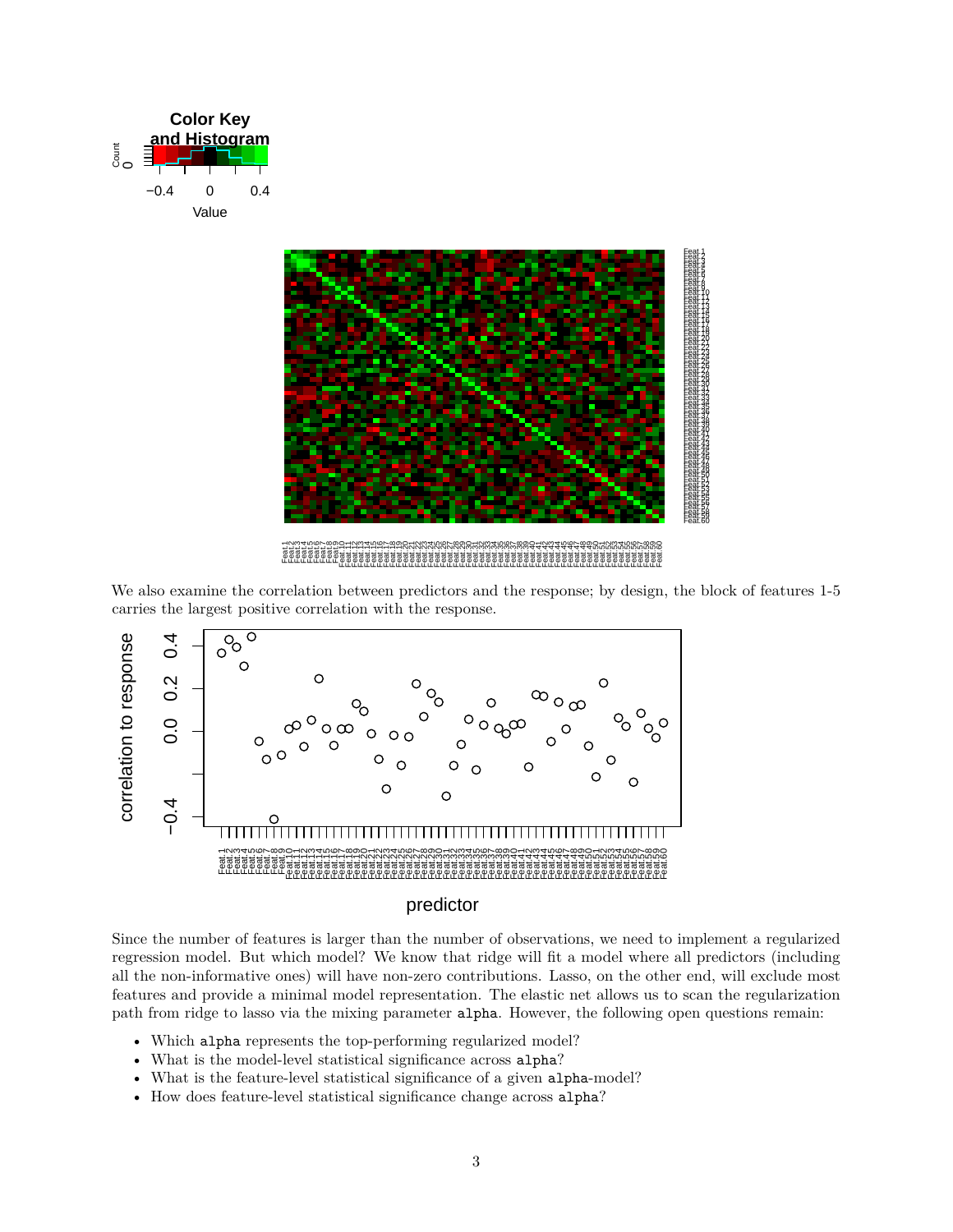



Feat.1 Feat.2 Feat.3 Feat.4 Feat.5 Feat.6 Feat.7 Feat.8 Feat.9 Feat.10 Feat.11 Feat.12 Feat.13 Feat.14 Feat.15 Feat.16 Feat.17 Feat.18 Feat.19 Feat.20 Feat.21 Feat.22 Feat.23 Feat.24 Feat.25 Feat.26 Feat.27 Feat.28 Feat.29 Feat.30 Feat.31 Feat.32 Feat.33 Feat.34 Feat.35 Feat.36 Feat.37 Feat.38 Feat.39 Feat.40 Feat.41 Feat.42 Feat.43 Feat.44 Feat.45 Feat.46 Feat.47 Feat.48 Feat.49 Feat.50 Feat.51 Feat.52 Feat.53 Feat.54 Feat.55 Feat.56 Feat.57 Feat.58 Feat.59 Feat.60

We also examine the correlation between predictors and the response; by design, the block of features 1-5 carries the largest positive correlation with the response.



#### predictor

Since the number of features is larger than the number of observations, we need to implement a regularized regression model. But which model? We know that ridge will fit a model where all predictors (including all the non-informative ones) will have non-zero contributions. Lasso, on the other end, will exclude most features and provide a minimal model representation. The elastic net allows us to scan the regularization path from ridge to lasso via the mixing parameter alpha. However, the following open questions remain:

- Which alpha represents the top-performing regularized model?
- What is the model-level statistical significance across alpha?
- What is the feature-level statistical significance of a given alpha-model?
- How does feature-level statistical significance change across alpha?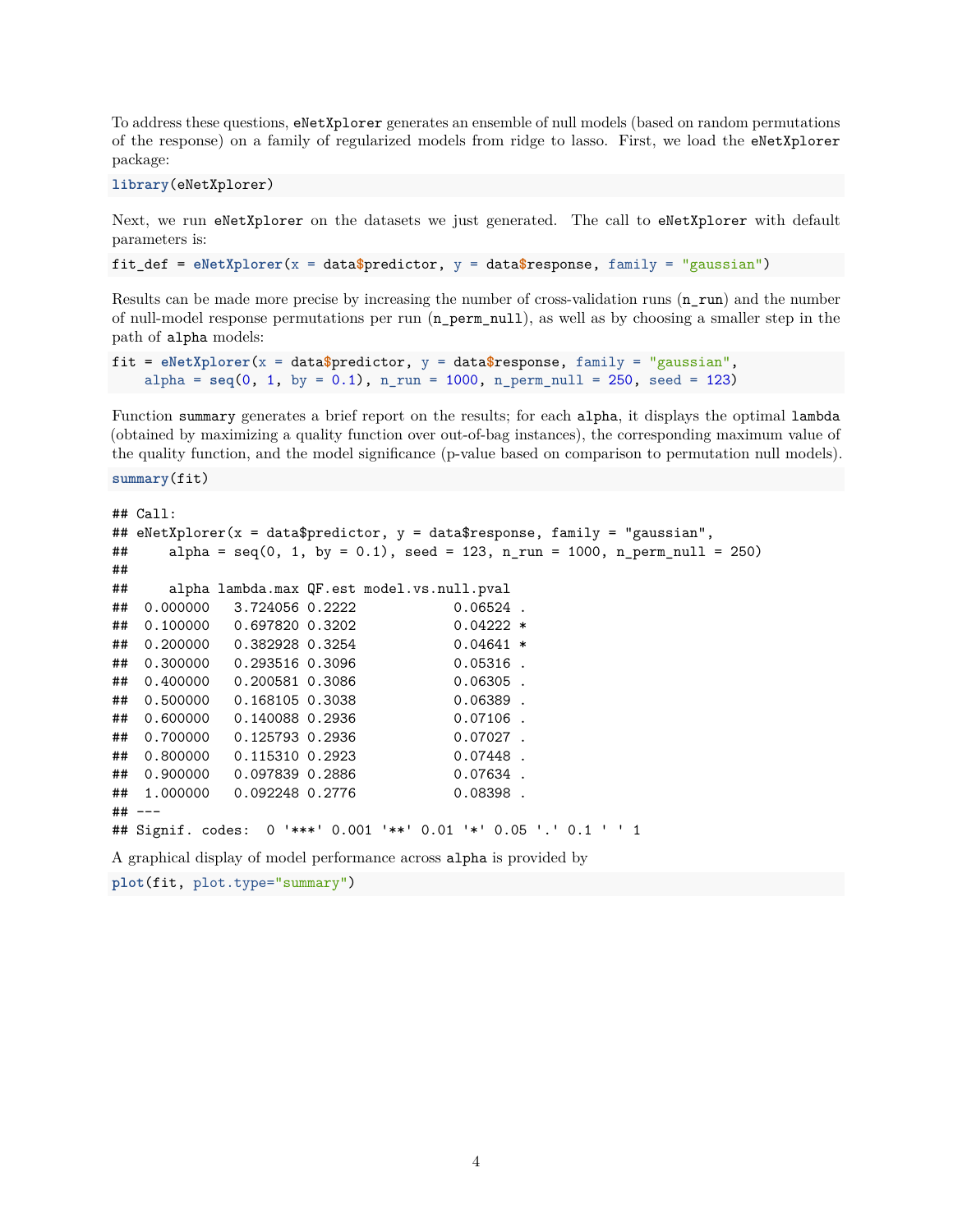To address these questions, eNetXplorer generates an ensemble of null models (based on random permutations of the response) on a family of regularized models from ridge to lasso. First, we load the eNetXplorer package:

**library**(eNetXplorer)

Next, we run eNetXplorer on the datasets we just generated. The call to eNetXplorer with default parameters is:

fit\_def = **eNetXplorer**(x = data**\$**predictor, y = data**\$**response, family = "gaussian")

Results can be made more precise by increasing the number of cross-validation runs (n\_run) and the number of null-model response permutations per run (n\_perm\_null), as well as by choosing a smaller step in the path of alpha models:

```
fit = eNetXplorer(x = data$predictor, y = data$response, family = "gaussian",
    alpha = seq(0, 1, by = 0.1), n_rum = 1000, n_perm_null = 250, seed = 123)
```
Function summary generates a brief report on the results; for each alpha, it displays the optimal lambda (obtained by maximizing a quality function over out-of-bag instances), the corresponding maximum value of the quality function, and the model significance (p-value based on comparison to permutation null models).

**summary**(fit)

```
## Call:
## eNetXplorer(x = data$predictor, y = data$response, family = "gaussian",
## alpha = seq(0, 1, by = 0.1), seed = 123, n\_run = 1000, n\_perm\_null = 250)##
## alpha lambda.max QF.est model.vs.null.pval
## 0.000000 3.724056 0.2222 0.06524
## 0.100000 0.697820 0.3202 0.04222 *
## 0.200000 0.382928 0.3254 0.04641 *
## 0.300000 0.293516 0.3096 0.05316 .
## 0.400000 0.200581 0.3086 0.06305 .
## 0.500000 0.168105 0.3038 0.06389 .
## 0.600000 0.140088 0.2936 0.07106 .
## 0.700000 0.125793 0.2936 0.07027 .
## 0.800000 0.115310 0.2923 0.07448 .
## 0.900000 0.097839 0.2886 0.07634 .
## 1.000000 0.092248 0.2776 0.08398 .
## ---
## Signif. codes: 0 '***' 0.001 '**' 0.01 '*' 0.05 '.' 0.1 ' ' 1
```
A graphical display of model performance across alpha is provided by

```
plot(fit, plot.type="summary")
```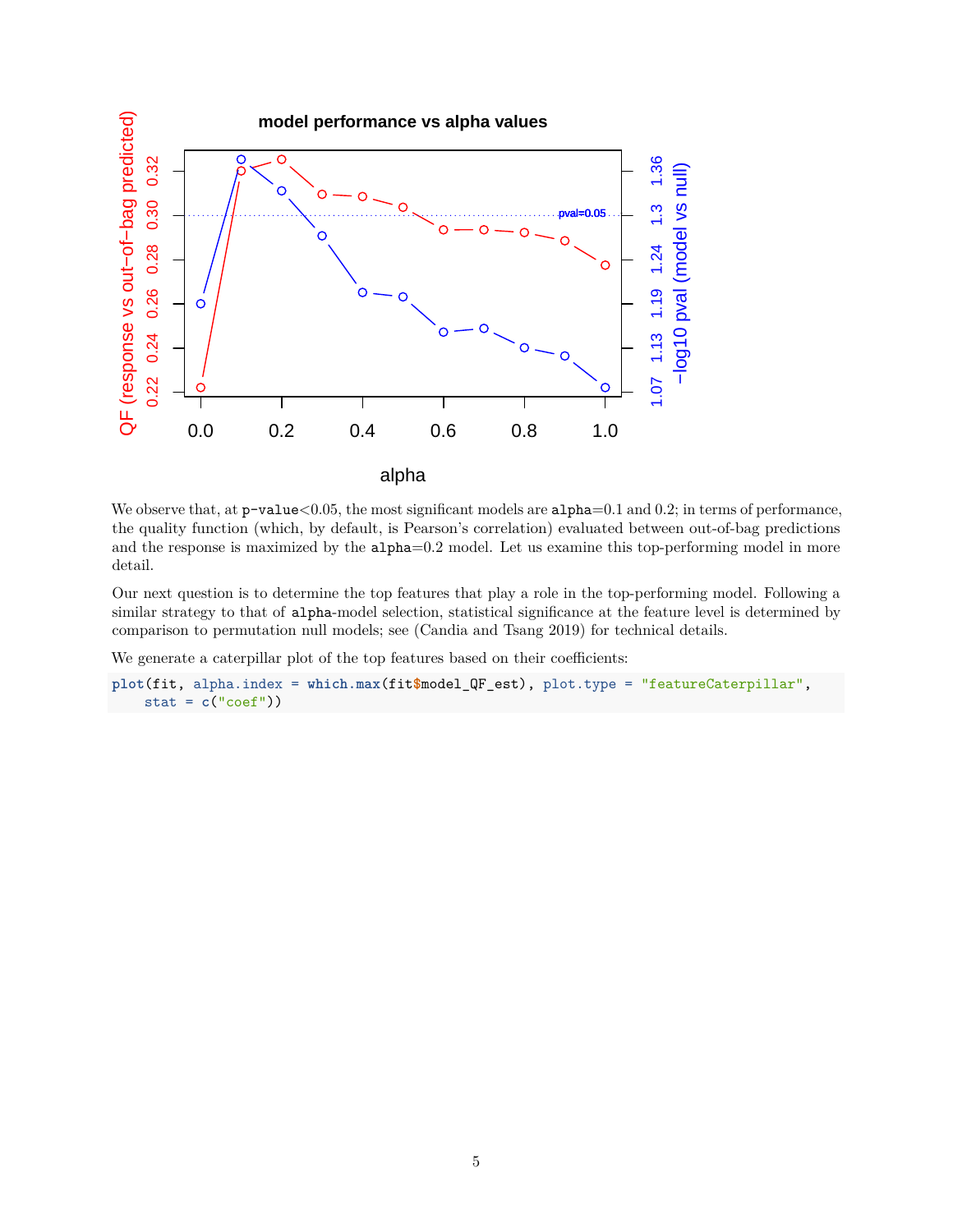

We observe that, at  $p-value<0.05$ , the most significant models are  $alpha=0.1$  and 0.2; in terms of performance, the quality function (which, by default, is Pearson's correlation) evaluated between out-of-bag predictions and the response is maximized by the alpha=0.2 model. Let us examine this top-performing model in more detail.

Our next question is to determine the top features that play a role in the top-performing model. Following a similar strategy to that of alpha-model selection, statistical significance at the feature level is determined by comparison to permutation null models; see (Candia and Tsang 2019) for technical details.

We generate a caterpillar plot of the top features based on their coefficients:

```
plot(fit, alpha.index = which.max(fit$model_QF_est), plot.type = "featureCaterpillar",
   stat = c("coef"))
```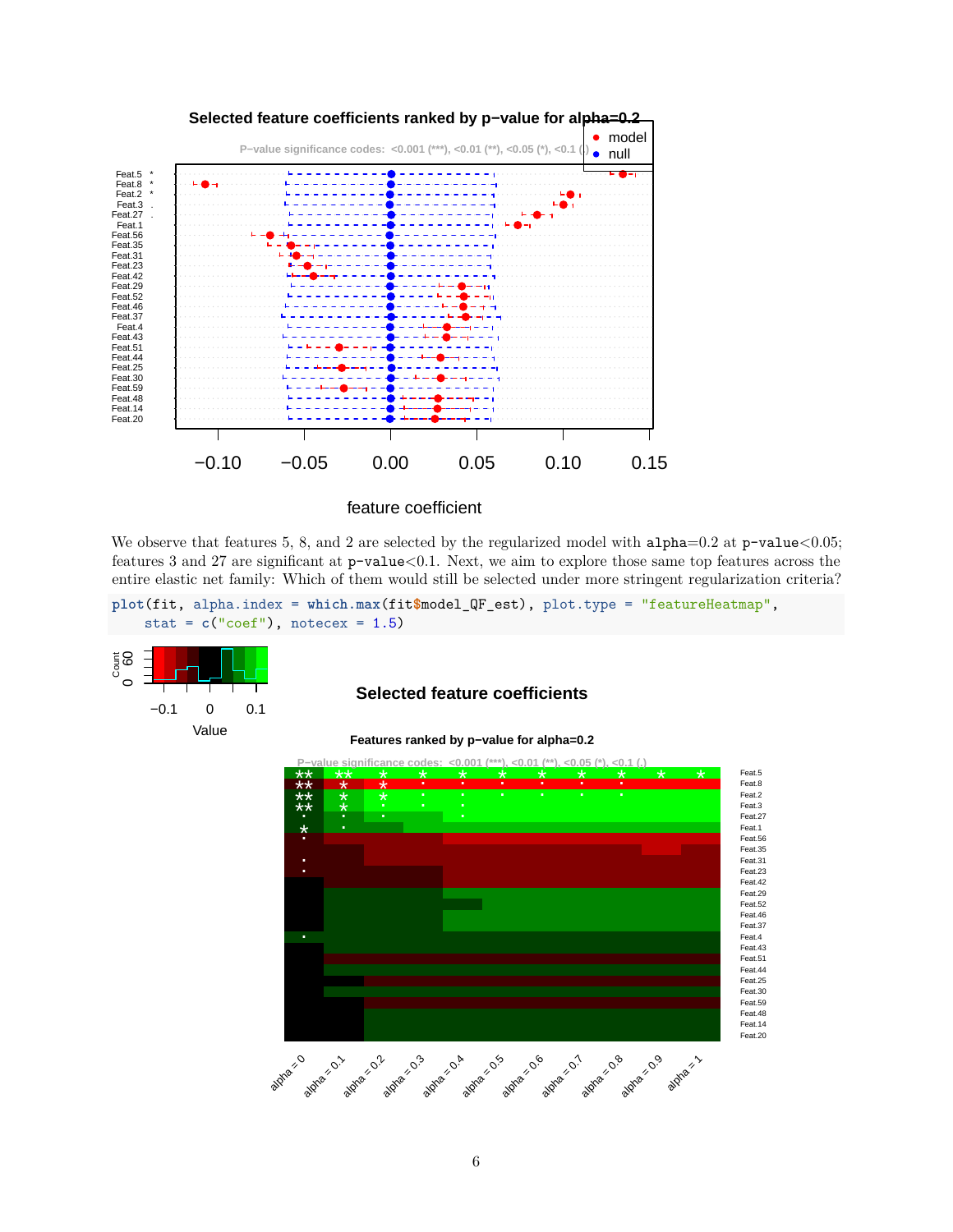

feature coefficient

We observe that features 5, 8, and 2 are selected by the regularized model with  $\alpha$ lpha=0.2 at p-value<0.05; features 3 and 27 are significant at p-value<0.1. Next, we aim to explore those same top features across the entire elastic net family: Which of them would still be selected under more stringent regularization criteria?

**plot**(fit, alpha.index = **which.max**(fit**\$**model\_QF\_est), plot.type = "featureHeatmap", stat =  $c("coef")$ , notecex =  $1.5$ )



#### **Selected feature coefficients**

**Features ranked by p−value for alpha=0.2**

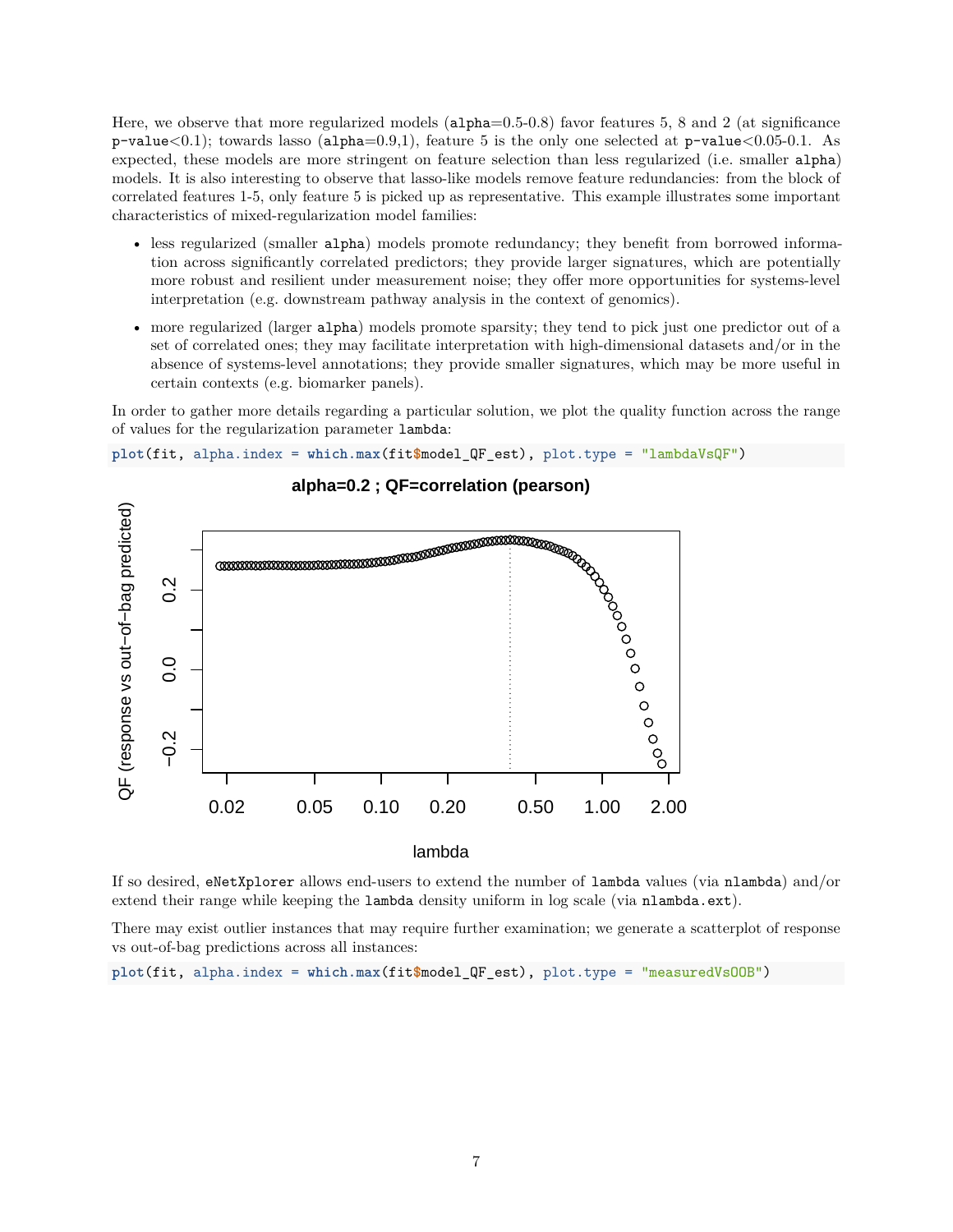Here, we observe that more regularized models (alpha=0.5-0.8) favor features 5, 8 and 2 (at significance  $p-value<0.1$ ; towards lasso (alpha=0.9,1), feature 5 is the only one selected at  $p-value<0.05-0.1$ . As expected, these models are more stringent on feature selection than less regularized (i.e. smaller alpha) models. It is also interesting to observe that lasso-like models remove feature redundancies: from the block of correlated features 1-5, only feature 5 is picked up as representative. This example illustrates some important characteristics of mixed-regularization model families:

- less regularized (smaller alpha) models promote redundancy; they benefit from borrowed information across significantly correlated predictors; they provide larger signatures, which are potentially more robust and resilient under measurement noise; they offer more opportunities for systems-level interpretation (e.g. downstream pathway analysis in the context of genomics).
- more regularized (larger alpha) models promote sparsity; they tend to pick just one predictor out of a set of correlated ones; they may facilitate interpretation with high-dimensional datasets and/or in the absence of systems-level annotations; they provide smaller signatures, which may be more useful in certain contexts (e.g. biomarker panels).

In order to gather more details regarding a particular solution, we plot the quality function across the range of values for the regularization parameter lambda:

**plot**(fit, alpha.index = **which.max**(fit**\$**model\_QF\_est), plot.type = "lambdaVsQF")



lambda

If so desired, eNetXplorer allows end-users to extend the number of lambda values (via nlambda) and/or extend their range while keeping the lambda density uniform in log scale (via nlambda.ext).

There may exist outlier instances that may require further examination; we generate a scatterplot of response vs out-of-bag predictions across all instances:

**plot**(fit, alpha.index = **which.max**(fit**\$**model\_QF\_est), plot.type = "measuredVsOOB")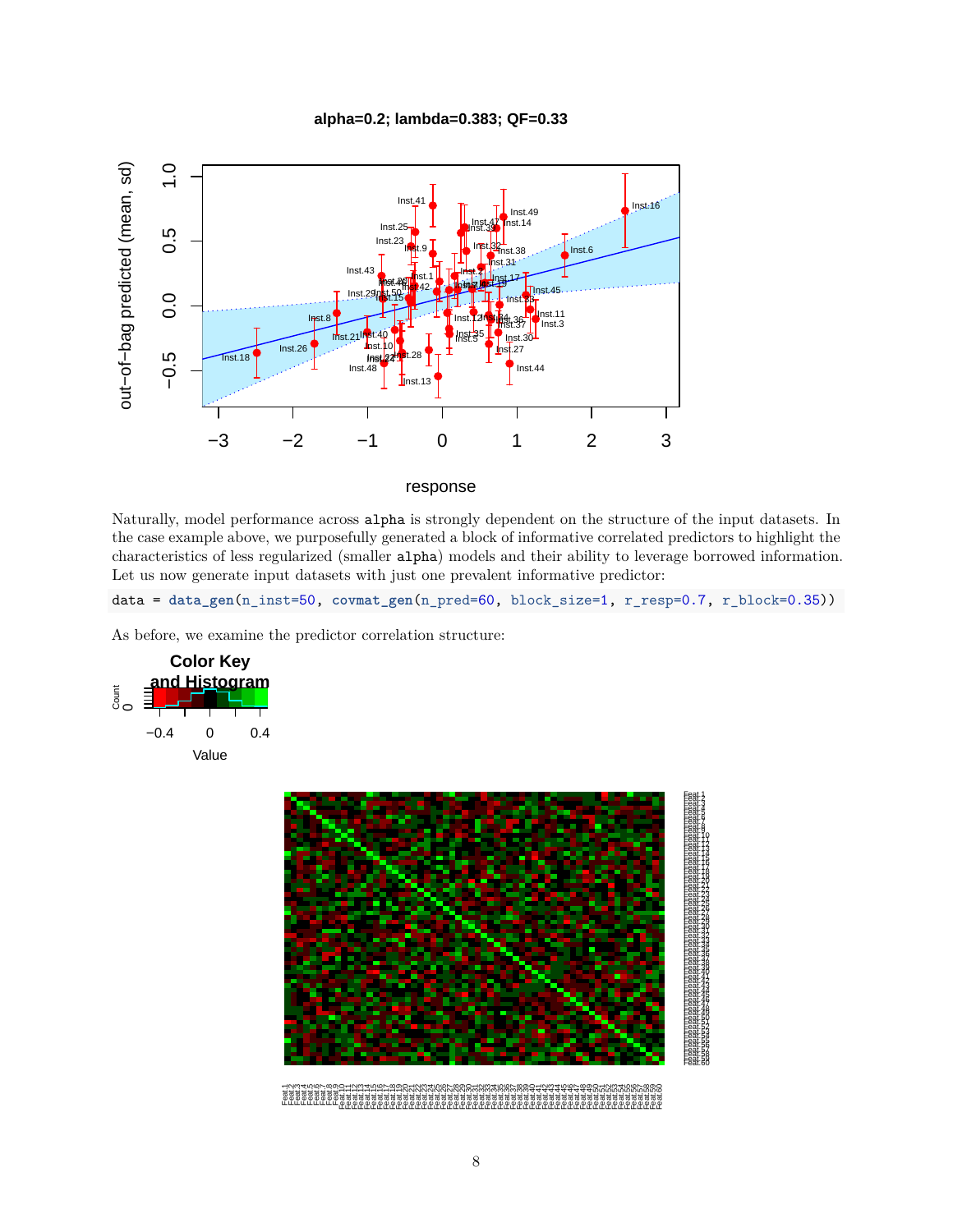



#### response

Naturally, model performance across alpha is strongly dependent on the structure of the input datasets. In the case example above, we purposefully generated a block of informative correlated predictors to highlight the characteristics of less regularized (smaller alpha) models and their ability to leverage borrowed information. Let us now generate input datasets with just one prevalent informative predictor:

data = **data\_gen**(n\_inst=50, **covmat\_gen**(n\_pred=60, block\_size=1, r\_resp=0.7, r\_block=0.35))

As before, we examine the predictor correlation structure:



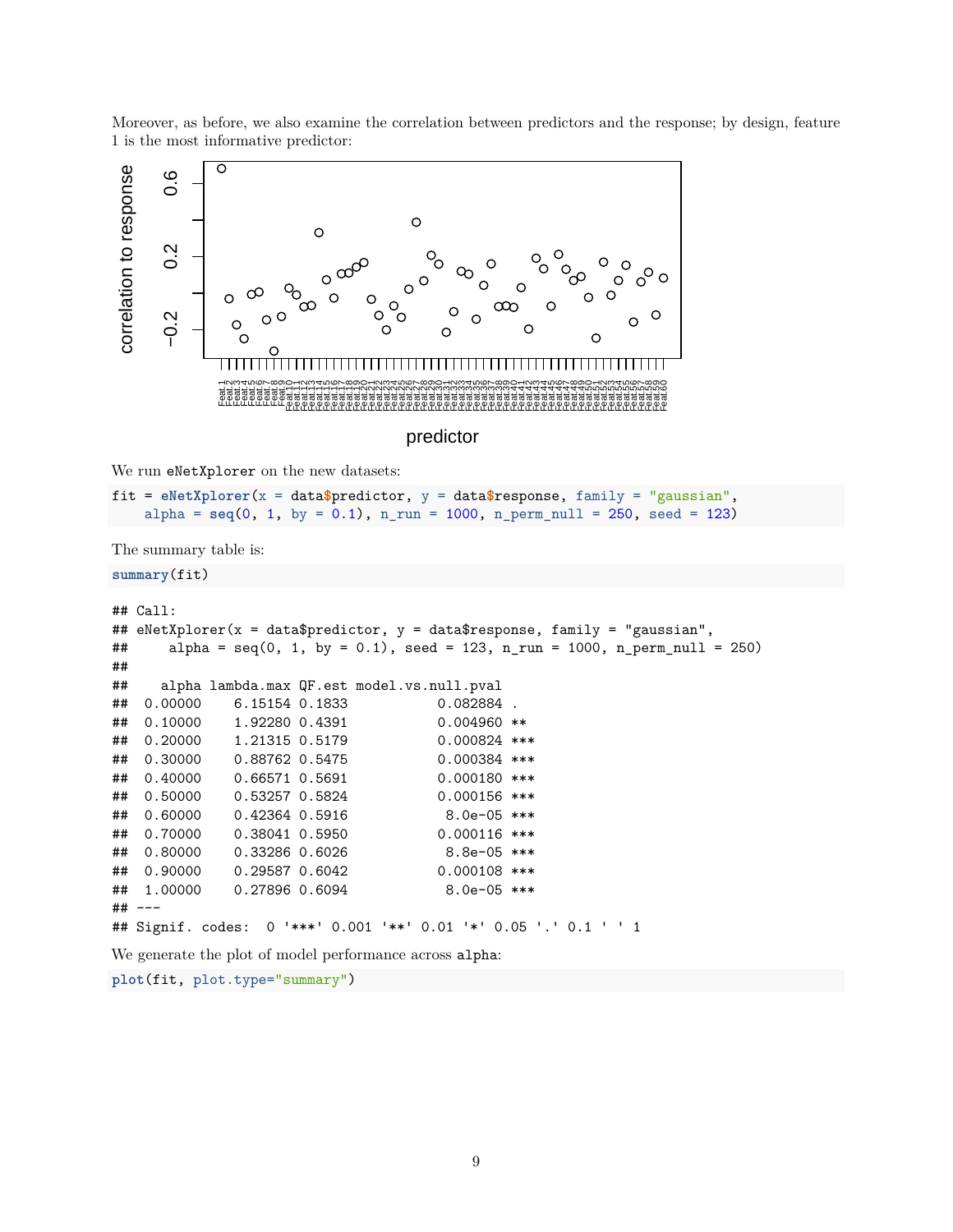



predictor

We run eNetXplorer on the new datasets:

```
fit = eNetXplorer(x = data$predictor, y = data$response, family = "gaussian",
    alpha = seq(0, 1, by = 0.1), n_run = 1000, n_perm_null = 250, seed = 123)
```
The summary table is:

**summary**(fit)

```
## Call:
## eNetXplorer(x = data$predictor, y = data$response, family = "gaussian",
## alpha = \text{seq}(0, 1, \text{ by } = 0.1), \text{seed} = 123, n\_run = 1000, n\_perm\_null = 250)##
## alpha lambda.max QF.est model.vs.null.pval
## 0.00000 6.15154 0.1833 0.082884 .
## 0.10000 1.92280 0.4391 0.004960 **
## 0.20000 1.21315 0.5179 0.000824 ***
## 0.30000 0.88762 0.5475 0.000384 ***
## 0.40000 0.66571 0.5691 0.000180 ***
## 0.50000 0.53257 0.5824 0.000156 ***
## 0.60000 0.42364 0.5916 8.0e-05 ***
## 0.70000 0.38041 0.5950 0.000116 ***
## 0.80000  0.33286  0.6026  8.8e-05 ***
## 0.90000 0.29587 0.6042 0.000108 ***
## 1.00000 0.27896 0.6094 8.0e-05 ***
## ---
## Signif. codes: 0 '***' 0.001 '**' 0.01 '*' 0.05 '.' 0.1 ' ' 1
We generate the plot of model performance across alpha:
```
**plot**(fit, plot.type="summary")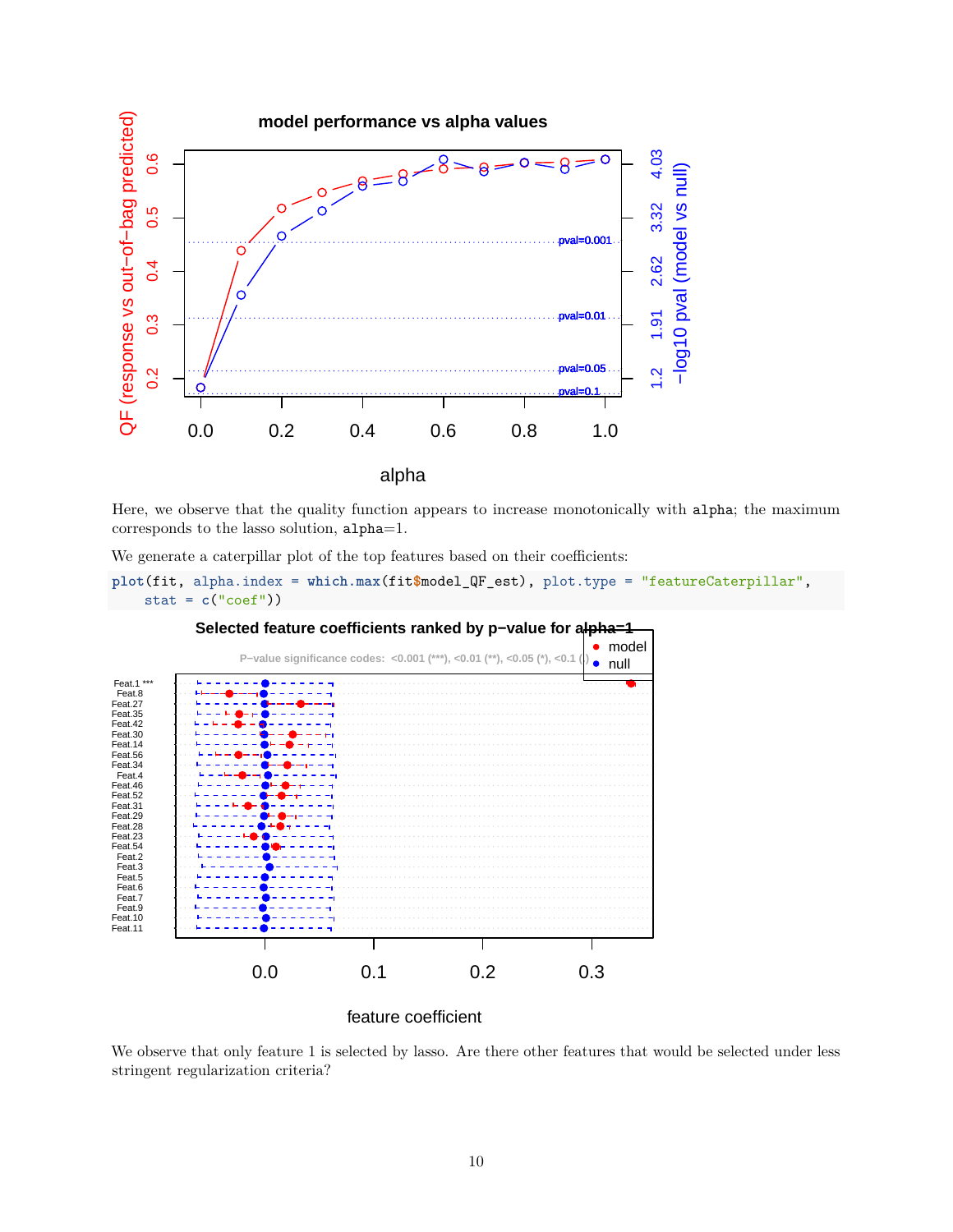

Here, we observe that the quality function appears to increase monotonically with alpha; the maximum corresponds to the lasso solution, alpha=1.

We generate a caterpillar plot of the top features based on their coefficients:





feature coefficient

We observe that only feature 1 is selected by lasso. Are there other features that would be selected under less stringent regularization criteria?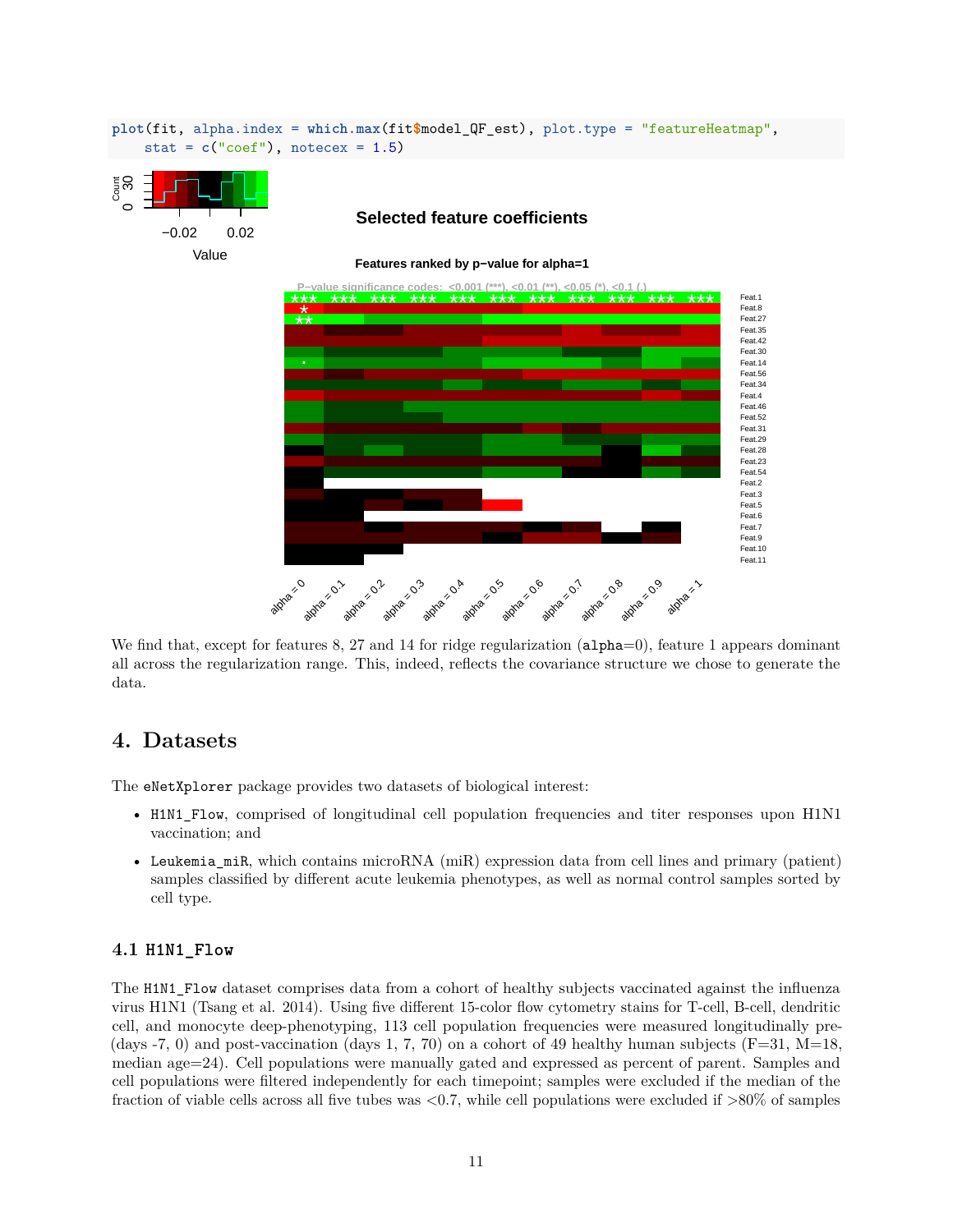

**plot**(fit, alpha.index = **which.max**(fit**\$**model\_QF\_est), plot.type = "featureHeatmap",

We find that, except for features 8, 27 and 14 for ridge regularization (alpha=0), feature 1 appears dominant all across the regularization range. This, indeed, reflects the covariance structure we chose to generate the data.

### <span id="page-10-0"></span>**4. Datasets**

The eNetXplorer package provides two datasets of biological interest:

- H1N1\_Flow, comprised of longitudinal cell population frequencies and titer responses upon H1N1 vaccination; and
- Leukemia\_miR, which contains microRNA (miR) expression data from cell lines and primary (patient) samples classified by different acute leukemia phenotypes, as well as normal control samples sorted by cell type.

#### **4.1 H1N1\_Flow**

The H1N1\_Flow dataset comprises data from a cohort of healthy subjects vaccinated against the influenza virus H1N1 (Tsang et al. 2014). Using five different 15-color flow cytometry stains for T-cell, B-cell, dendritic cell, and monocyte deep-phenotyping, 113 cell population frequencies were measured longitudinally pre- (days  $-7$ , 0) and post-vaccination (days 1, 7, 70) on a cohort of 49 healthy human subjects (F=31, M=18, median age=24). Cell populations were manually gated and expressed as percent of parent. Samples and cell populations were filtered independently for each timepoint; samples were excluded if the median of the fraction of viable cells across all five tubes was  $\langle 0.7$ , while cell populations were excluded if  $>80\%$  of samples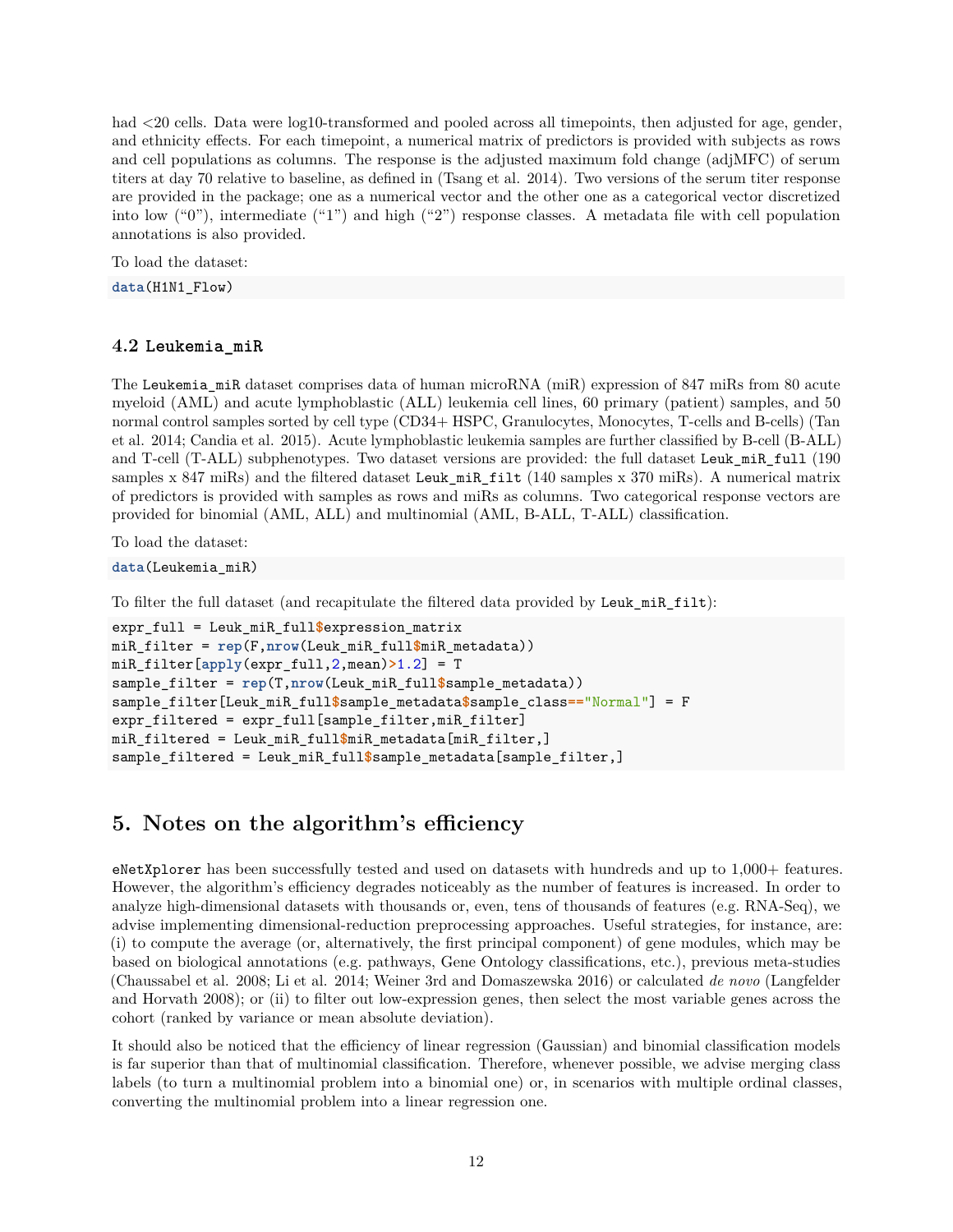had  $\leq$ 20 cells. Data were log10-transformed and pooled across all timepoints, then adjusted for age, gender, and ethnicity effects. For each timepoint, a numerical matrix of predictors is provided with subjects as rows and cell populations as columns. The response is the adjusted maximum fold change (adjMFC) of serum titers at day 70 relative to baseline, as defined in (Tsang et al. 2014). Two versions of the serum titer response are provided in the package; one as a numerical vector and the other one as a categorical vector discretized into low ("0"), intermediate ("1") and high ("2") response classes. A metadata file with cell population annotations is also provided.

To load the dataset:

**data**(H1N1\_Flow)

#### **4.2 Leukemia\_miR**

The Leukemia\_miR dataset comprises data of human microRNA (miR) expression of 847 miRs from 80 acute myeloid (AML) and acute lymphoblastic (ALL) leukemia cell lines, 60 primary (patient) samples, and 50 normal control samples sorted by cell type (CD34+ HSPC, Granulocytes, Monocytes, T-cells and B-cells) (Tan et al. 2014; Candia et al. 2015). Acute lymphoblastic leukemia samples are further classified by B-cell (B-ALL) and T-cell (T-ALL) subphenotypes. Two dataset versions are provided: the full dataset Leuk\_miR\_full (190 samples x 847 miRs) and the filtered dataset Leuk\_miR\_filt (140 samples x 370 miRs). A numerical matrix of predictors is provided with samples as rows and miRs as columns. Two categorical response vectors are provided for binomial (AML, ALL) and multinomial (AML, B-ALL, T-ALL) classification.

To load the dataset:

```
data(Leukemia_miR)
```
To filter the full dataset (and recapitulate the filtered data provided by Leuk\_miR\_filt):

```
expr_full = Leuk_miR_full$expression_matrix
miR_filter = rep(F,nrow(Leuk_miR_full$miR_metadata))
miR_filter[apply(expr_full,2,mean)>1.2] = T
sample_filter = rep(T,nrow(Leuk_miR_full$sample_metadata))
sample_filter[Leuk_miR_full$sample_metadata$sample_class=="Normal"] = F
expr_filtered = expr_full[sample_filter,miR_filter]
miR_filtered = Leuk_miR_full$miR_metadata[miR_filter,]
sample_filtered = Leuk_miR_full$sample_metadata[sample_filter,]
```
## **5. Notes on the algorithm's efficiency**

eNetXplorer has been successfully tested and used on datasets with hundreds and up to 1,000+ features. However, the algorithm's efficiency degrades noticeably as the number of features is increased. In order to analyze high-dimensional datasets with thousands or, even, tens of thousands of features (e.g. RNA-Seq), we advise implementing dimensional-reduction preprocessing approaches. Useful strategies, for instance, are: (i) to compute the average (or, alternatively, the first principal component) of gene modules, which may be based on biological annotations (e.g. pathways, Gene Ontology classifications, etc.), previous meta-studies (Chaussabel et al. 2008; Li et al. 2014; Weiner 3rd and Domaszewska 2016) or calculated *de novo* (Langfelder and Horvath 2008); or (ii) to filter out low-expression genes, then select the most variable genes across the cohort (ranked by variance or mean absolute deviation).

It should also be noticed that the efficiency of linear regression (Gaussian) and binomial classification models is far superior than that of multinomial classification. Therefore, whenever possible, we advise merging class labels (to turn a multinomial problem into a binomial one) or, in scenarios with multiple ordinal classes, converting the multinomial problem into a linear regression one.